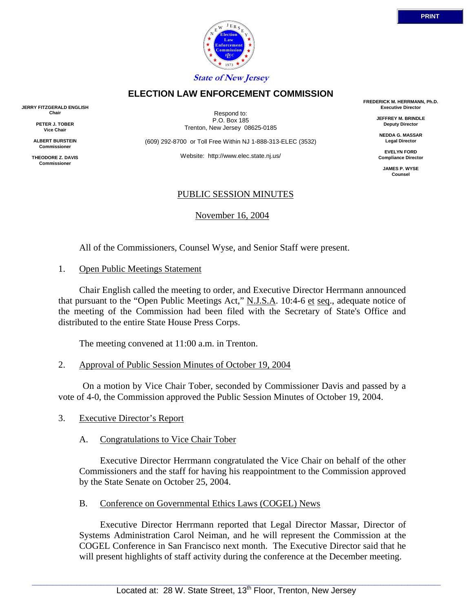Respond to: P.O. Box 185

**ELECTION LAW ENFORCEMENT COMMISSION**

Trenton, New Jersey 08625-0185

(609) 292-8700 or Toll Free Within NJ 1-888-313-ELEC (3532)

Website: http://www.elec.state.nj.us/

### PUBLIC SESSION MINUTES

November 16, 2004

All of the Commissioners, Counsel Wyse, and Senior Staff were present.

### 1. Open Public Meetings Statement

 Chair English called the meeting to order, and Executive Director Herrmann announced that pursuant to the "Open Public Meetings Act," N.J.S.A. 10:4-6 et seq., adequate notice of the meeting of the Commission had been filed with the Secretary of State's Office and distributed to the entire State House Press Corps.

The meeting convened at 11:00 a.m. in Trenton.

2. Approval of Public Session Minutes of October 19, 2004

 On a motion by Vice Chair Tober, seconded by Commissioner Davis and passed by a vote of 4-0, the Commission approved the Public Session Minutes of October 19, 2004.

3. Executive Director's Report

### A. Congratulations to Vice Chair Tober

 Executive Director Herrmann congratulated the Vice Chair on behalf of the other Commissioners and the staff for having his reappointment to the Commission approved by the State Senate on October 25, 2004.

# B. Conference on Governmental Ethics Laws (COGEL) News

 Executive Director Herrmann reported that Legal Director Massar, Director of Systems Administration Carol Neiman, and he will represent the Commission at the COGEL Conference in San Francisco next month. The Executive Director said that he will present highlights of staff activity during the conference at the December meeting.

**FREDERICK M. HERRMANN, Ph.D. Executive Director**

> **JEFFREY M. BRINDLE Deputy Director**

**NEDDA G. MASSAR Legal Director**

**EVELYN FORD Compliance Director**

**JAMES P. WYSE Counsel**



**JERRY FITZGERALD ENGLISH Chair**

> **PETER J. TOBER Vice Chair**

**ALBERT BURSTEIN Commissione** 

**THEODORE Z. DAVIS Commissione**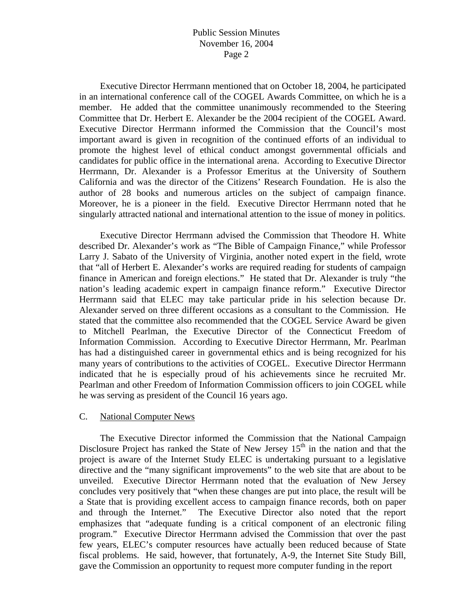Executive Director Herrmann mentioned that on October 18, 2004, he participated in an international conference call of the COGEL Awards Committee, on which he is a member. He added that the committee unanimously recommended to the Steering Committee that Dr. Herbert E. Alexander be the 2004 recipient of the COGEL Award. Executive Director Herrmann informed the Commission that the Council's most important award is given in recognition of the continued efforts of an individual to promote the highest level of ethical conduct amongst governmental officials and candidates for public office in the international arena. According to Executive Director Herrmann, Dr. Alexander is a Professor Emeritus at the University of Southern California and was the director of the Citizens' Research Foundation. He is also the author of 28 books and numerous articles on the subject of campaign finance. Moreover, he is a pioneer in the field. Executive Director Herrmann noted that he singularly attracted national and international attention to the issue of money in politics.

 Executive Director Herrmann advised the Commission that Theodore H. White described Dr. Alexander's work as "The Bible of Campaign Finance," while Professor Larry J. Sabato of the University of Virginia, another noted expert in the field, wrote that "all of Herbert E. Alexander's works are required reading for students of campaign finance in American and foreign elections." He stated that Dr. Alexander is truly "the nation's leading academic expert in campaign finance reform." Executive Director Herrmann said that ELEC may take particular pride in his selection because Dr. Alexander served on three different occasions as a consultant to the Commission. He stated that the committee also recommended that the COGEL Service Award be given to Mitchell Pearlman, the Executive Director of the Connecticut Freedom of Information Commission. According to Executive Director Herrmann, Mr. Pearlman has had a distinguished career in governmental ethics and is being recognized for his many years of contributions to the activities of COGEL. Executive Director Herrmann indicated that he is especially proud of his achievements since he recruited Mr. Pearlman and other Freedom of Information Commission officers to join COGEL while he was serving as president of the Council 16 years ago.

#### C. National Computer News

 The Executive Director informed the Commission that the National Campaign Disclosure Project has ranked the State of New Jersey  $15<sup>th</sup>$  in the nation and that the project is aware of the Internet Study ELEC is undertaking pursuant to a legislative directive and the "many significant improvements" to the web site that are about to be unveiled. Executive Director Herrmann noted that the evaluation of New Jersey concludes very positively that "when these changes are put into place, the result will be a State that is providing excellent access to campaign finance records, both on paper and through the Internet." The Executive Director also noted that the report emphasizes that "adequate funding is a critical component of an electronic filing program." Executive Director Herrmann advised the Commission that over the past few years, ELEC's computer resources have actually been reduced because of State fiscal problems. He said, however, that fortunately, A-9, the Internet Site Study Bill, gave the Commission an opportunity to request more computer funding in the report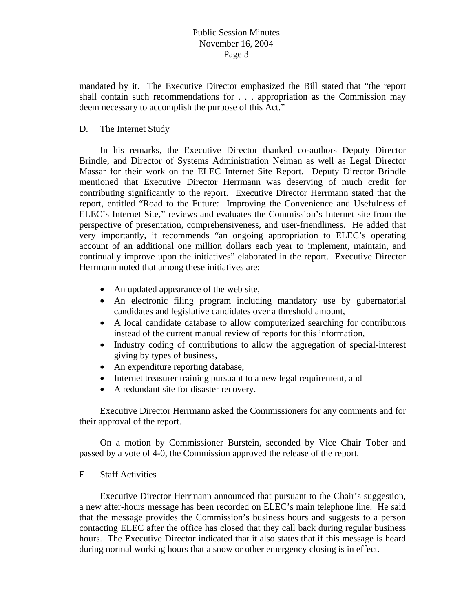mandated by it. The Executive Director emphasized the Bill stated that "the report shall contain such recommendations for . . . appropriation as the Commission may deem necessary to accomplish the purpose of this Act."

### D. The Internet Study

 In his remarks, the Executive Director thanked co-authors Deputy Director Brindle, and Director of Systems Administration Neiman as well as Legal Director Massar for their work on the ELEC Internet Site Report. Deputy Director Brindle mentioned that Executive Director Herrmann was deserving of much credit for contributing significantly to the report. Executive Director Herrmann stated that the report, entitled "Road to the Future: Improving the Convenience and Usefulness of ELEC's Internet Site," reviews and evaluates the Commission's Internet site from the perspective of presentation, comprehensiveness, and user-friendliness. He added that very importantly, it recommends "an ongoing appropriation to ELEC's operating account of an additional one million dollars each year to implement, maintain, and continually improve upon the initiatives" elaborated in the report. Executive Director Herrmann noted that among these initiatives are:

- An updated appearance of the web site,
- An electronic filing program including mandatory use by gubernatorial candidates and legislative candidates over a threshold amount,
- A local candidate database to allow computerized searching for contributors instead of the current manual review of reports for this information,
- Industry coding of contributions to allow the aggregation of special-interest giving by types of business,
- An expenditure reporting database,
- Internet treasurer training pursuant to a new legal requirement, and
- A redundant site for disaster recovery.

 Executive Director Herrmann asked the Commissioners for any comments and for their approval of the report.

 On a motion by Commissioner Burstein, seconded by Vice Chair Tober and passed by a vote of 4-0, the Commission approved the release of the report.

### E. Staff Activities

 Executive Director Herrmann announced that pursuant to the Chair's suggestion, a new after-hours message has been recorded on ELEC's main telephone line. He said that the message provides the Commission's business hours and suggests to a person contacting ELEC after the office has closed that they call back during regular business hours. The Executive Director indicated that it also states that if this message is heard during normal working hours that a snow or other emergency closing is in effect.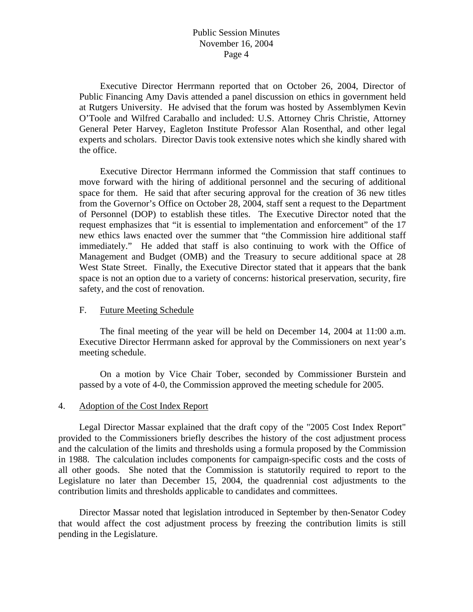Executive Director Herrmann reported that on October 26, 2004, Director of Public Financing Amy Davis attended a panel discussion on ethics in government held at Rutgers University. He advised that the forum was hosted by Assemblymen Kevin O'Toole and Wilfred Caraballo and included: U.S. Attorney Chris Christie, Attorney General Peter Harvey, Eagleton Institute Professor Alan Rosenthal, and other legal experts and scholars. Director Davis took extensive notes which she kindly shared with the office.

 Executive Director Herrmann informed the Commission that staff continues to move forward with the hiring of additional personnel and the securing of additional space for them. He said that after securing approval for the creation of 36 new titles from the Governor's Office on October 28, 2004, staff sent a request to the Department of Personnel (DOP) to establish these titles. The Executive Director noted that the request emphasizes that "it is essential to implementation and enforcement" of the 17 new ethics laws enacted over the summer that "the Commission hire additional staff immediately." He added that staff is also continuing to work with the Office of Management and Budget (OMB) and the Treasury to secure additional space at 28 West State Street. Finally, the Executive Director stated that it appears that the bank space is not an option due to a variety of concerns: historical preservation, security, fire safety, and the cost of renovation.

#### F. Future Meeting Schedule

The final meeting of the year will be held on December 14, 2004 at 11:00 a.m. Executive Director Herrmann asked for approval by the Commissioners on next year's meeting schedule.

On a motion by Vice Chair Tober, seconded by Commissioner Burstein and passed by a vote of 4-0, the Commission approved the meeting schedule for 2005.

#### 4. Adoption of the Cost Index Report

 Legal Director Massar explained that the draft copy of the "2005 Cost Index Report" provided to the Commissioners briefly describes the history of the cost adjustment process and the calculation of the limits and thresholds using a formula proposed by the Commission in 1988. The calculation includes components for campaign-specific costs and the costs of all other goods. She noted that the Commission is statutorily required to report to the Legislature no later than December 15, 2004, the quadrennial cost adjustments to the contribution limits and thresholds applicable to candidates and committees.

 Director Massar noted that legislation introduced in September by then-Senator Codey that would affect the cost adjustment process by freezing the contribution limits is still pending in the Legislature.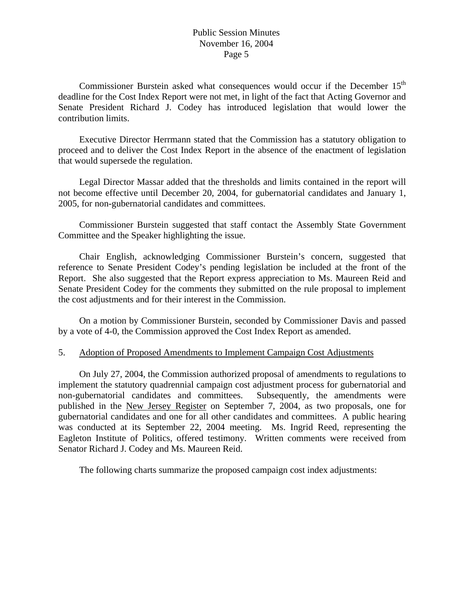Commissioner Burstein asked what consequences would occur if the December 15<sup>th</sup> deadline for the Cost Index Report were not met, in light of the fact that Acting Governor and Senate President Richard J. Codey has introduced legislation that would lower the contribution limits.

 Executive Director Herrmann stated that the Commission has a statutory obligation to proceed and to deliver the Cost Index Report in the absence of the enactment of legislation that would supersede the regulation.

 Legal Director Massar added that the thresholds and limits contained in the report will not become effective until December 20, 2004, for gubernatorial candidates and January 1, 2005, for non-gubernatorial candidates and committees.

 Commissioner Burstein suggested that staff contact the Assembly State Government Committee and the Speaker highlighting the issue.

 Chair English, acknowledging Commissioner Burstein's concern, suggested that reference to Senate President Codey's pending legislation be included at the front of the Report. She also suggested that the Report express appreciation to Ms. Maureen Reid and Senate President Codey for the comments they submitted on the rule proposal to implement the cost adjustments and for their interest in the Commission.

 On a motion by Commissioner Burstein, seconded by Commissioner Davis and passed by a vote of 4-0, the Commission approved the Cost Index Report as amended.

### 5. Adoption of Proposed Amendments to Implement Campaign Cost Adjustments

 On July 27, 2004, the Commission authorized proposal of amendments to regulations to implement the statutory quadrennial campaign cost adjustment process for gubernatorial and non-gubernatorial candidates and committees. Subsequently, the amendments were published in the New Jersey Register on September 7, 2004, as two proposals, one for gubernatorial candidates and one for all other candidates and committees. A public hearing was conducted at its September 22, 2004 meeting. Ms. Ingrid Reed, representing the Eagleton Institute of Politics, offered testimony. Written comments were received from Senator Richard J. Codey and Ms. Maureen Reid.

The following charts summarize the proposed campaign cost index adjustments: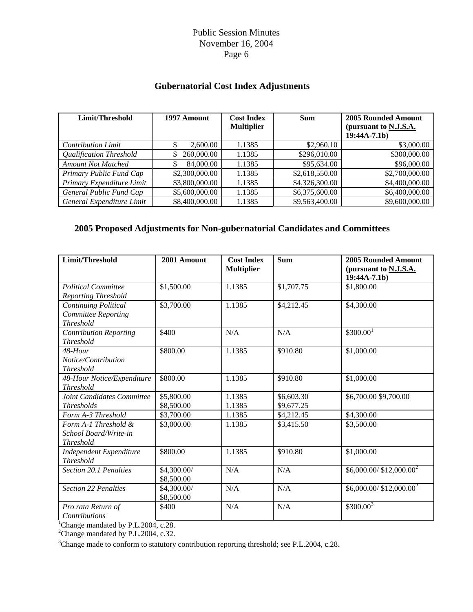# **Gubernatorial Cost Index Adjustments**

| Limit/Threshold           | 1997 Amount      | <b>Cost Index</b><br><b>Multiplier</b> | <b>Sum</b>     | 2005 Rounded Amount<br>(pursuant to N.J.S.A.<br>$19:44A-7.1b)$ |
|---------------------------|------------------|----------------------------------------|----------------|----------------------------------------------------------------|
| <b>Contribution Limit</b> | 2,600.00         | 1.1385                                 | \$2,960.10     | \$3,000.00                                                     |
| Qualification Threshold   | 260,000.00<br>\$ | 1.1385                                 | \$296,010.00   | \$300,000.00                                                   |
| <b>Amount Not Matched</b> | 84,000.00        | 1.1385                                 | \$95,634.00    | \$96,000.00                                                    |
| Primary Public Fund Cap   | \$2,300,000.00   | 1.1385                                 | \$2,618,550.00 | \$2,700,000.00                                                 |
| Primary Expenditure Limit | \$3,800,000.00   | 1.1385                                 | \$4,326,300.00 | \$4,400,000.00                                                 |
| General Public Fund Cap   | \$5,600,000.00   | 1.1385                                 | \$6,375,600.00 | \$6,400,000.00                                                 |
| General Expenditure Limit | \$8,400,000.00   | 1.1385                                 | \$9,563,400.00 | \$9,600,000.00                                                 |

# **2005 Proposed Adjustments for Non-gubernatorial Candidates and Committees**

| Limit/Threshold                                                        | 2001 Amount               | <b>Cost Index</b><br><b>Multiplier</b> | <b>Sum</b>               | <b>2005 Rounded Amount</b><br>(pursuant to N.J.S.A.<br>$19:44A-7.1b)$ |  |
|------------------------------------------------------------------------|---------------------------|----------------------------------------|--------------------------|-----------------------------------------------------------------------|--|
| <b>Political Committee</b><br><b>Reporting Threshold</b>               | \$1,500.00                | 1.1385                                 | \$1,707.75               | \$1,800.00                                                            |  |
| Continuing Political<br><b>Committee Reporting</b><br><b>Threshold</b> | \$3,700.00                | 1.1385                                 | \$4,212.45               | \$4,300.00                                                            |  |
| <b>Contribution Reporting</b><br><b>Threshold</b>                      | \$400                     | N/A                                    | N/A                      | \$300.00 <sup>1</sup>                                                 |  |
| 48-Hour<br>Notice/Contribution<br><b>Threshold</b>                     | \$800.00                  | 1.1385                                 | \$910.80                 | \$1,000.00                                                            |  |
| 48-Hour Notice/Expenditure<br><b>Threshold</b>                         | \$800.00                  | 1.1385                                 | \$910.80                 | \$1,000.00                                                            |  |
| Joint Candidates Committee<br><b>Thresholds</b>                        | \$5,800.00<br>\$8,500.00  | 1.1385<br>1.1385                       | \$6,603.30<br>\$9,677.25 | \$6,700.00 \$9,700.00                                                 |  |
| Form A-3 Threshold                                                     | \$3,700.00                | 1.1385                                 | \$4,212.45               | \$4,300.00                                                            |  |
| Form $A-1$ Threshold &<br>School Board/Write-in<br><b>Threshold</b>    | \$3,000.00                | 1.1385                                 | \$3,415.50               | \$3,500.00                                                            |  |
| Independent Expenditure<br><b>Threshold</b>                            | \$800.00                  | 1.1385                                 | \$910.80                 | \$1,000.00                                                            |  |
| Section 20.1 Penalties                                                 | \$4,300.00/<br>\$8,500.00 | N/A                                    | N/A                      | \$6,000.00/ \$12,000.00 <sup>2</sup>                                  |  |
| <b>Section 22 Penalties</b>                                            | \$4,300.00/<br>\$8,500.00 | N/A                                    | N/A                      | $$6,000.00 / $12,000.00^2$                                            |  |
| Pro rata Return of<br><b>Contributions</b>                             | \$400                     | N/A                                    | N/A                      | $$300.00^3$                                                           |  |
| Change mandated by P.L.2004, c.28.                                     |                           |                                        |                          |                                                                       |  |
| <sup>2</sup> Change mandated by P.L.2004, c.32.                        |                           |                                        |                          |                                                                       |  |

<sup>3</sup>Change made to conform to statutory contribution reporting threshold; see P.L.2004, c.28.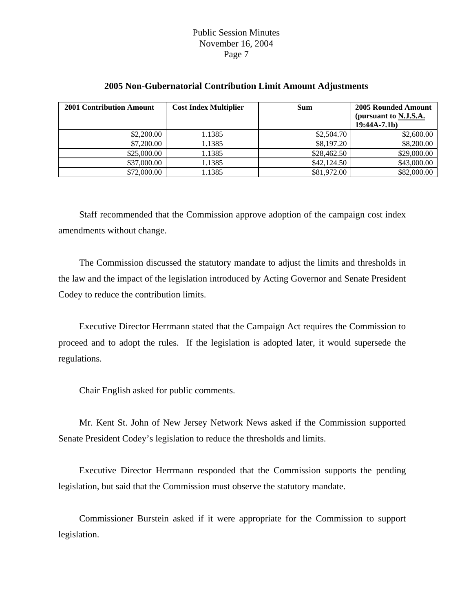| <b>2001 Contribution Amount</b> | <b>Cost Index Multiplier</b> | <b>Sum</b>  | <b>2005 Rounded Amount</b><br>(pursuant to N.J.S.A.<br>$19:44A-7.1b)$ |
|---------------------------------|------------------------------|-------------|-----------------------------------------------------------------------|
| \$2,200.00                      | 1.1385                       | \$2,504.70  | \$2,600.00                                                            |
| \$7,200.00                      | 1.1385                       | \$8,197.20  | \$8,200.00                                                            |
| \$25,000.00                     | 1.1385                       | \$28,462.50 | \$29,000.00                                                           |
| \$37,000.00                     | 1.1385                       | \$42,124.50 | \$43,000.00                                                           |
| \$72,000.00                     | 1.1385                       | \$81,972.00 | \$82,000.00                                                           |

### **2005 Non-Gubernatorial Contribution Limit Amount Adjustments**

 Staff recommended that the Commission approve adoption of the campaign cost index amendments without change.

 The Commission discussed the statutory mandate to adjust the limits and thresholds in the law and the impact of the legislation introduced by Acting Governor and Senate President Codey to reduce the contribution limits.

 Executive Director Herrmann stated that the Campaign Act requires the Commission to proceed and to adopt the rules. If the legislation is adopted later, it would supersede the regulations.

Chair English asked for public comments.

 Mr. Kent St. John of New Jersey Network News asked if the Commission supported Senate President Codey's legislation to reduce the thresholds and limits.

 Executive Director Herrmann responded that the Commission supports the pending legislation, but said that the Commission must observe the statutory mandate.

 Commissioner Burstein asked if it were appropriate for the Commission to support legislation.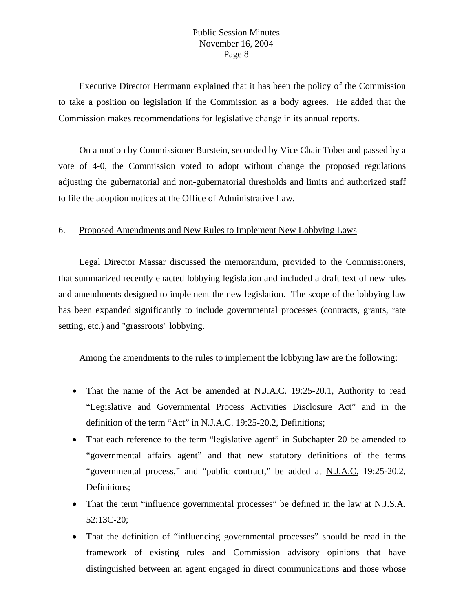Executive Director Herrmann explained that it has been the policy of the Commission to take a position on legislation if the Commission as a body agrees. He added that the Commission makes recommendations for legislative change in its annual reports.

 On a motion by Commissioner Burstein, seconded by Vice Chair Tober and passed by a vote of 4-0, the Commission voted to adopt without change the proposed regulations adjusting the gubernatorial and non-gubernatorial thresholds and limits and authorized staff to file the adoption notices at the Office of Administrative Law.

#### 6. Proposed Amendments and New Rules to Implement New Lobbying Laws

 Legal Director Massar discussed the memorandum, provided to the Commissioners, that summarized recently enacted lobbying legislation and included a draft text of new rules and amendments designed to implement the new legislation. The scope of the lobbying law has been expanded significantly to include governmental processes (contracts, grants, rate setting, etc.) and "grassroots" lobbying.

Among the amendments to the rules to implement the lobbying law are the following:

- That the name of the Act be amended at N.J.A.C. 19:25-20.1, Authority to read "Legislative and Governmental Process Activities Disclosure Act" and in the definition of the term "Act" in N.J.A.C. 19:25-20.2, Definitions;
- That each reference to the term "legislative agent" in Subchapter 20 be amended to "governmental affairs agent" and that new statutory definitions of the terms "governmental process," and "public contract," be added at N.J.A.C. 19:25-20.2, Definitions;
- That the term "influence governmental processes" be defined in the law at N.J.S.A. 52:13C-20;
- That the definition of "influencing governmental processes" should be read in the framework of existing rules and Commission advisory opinions that have distinguished between an agent engaged in direct communications and those whose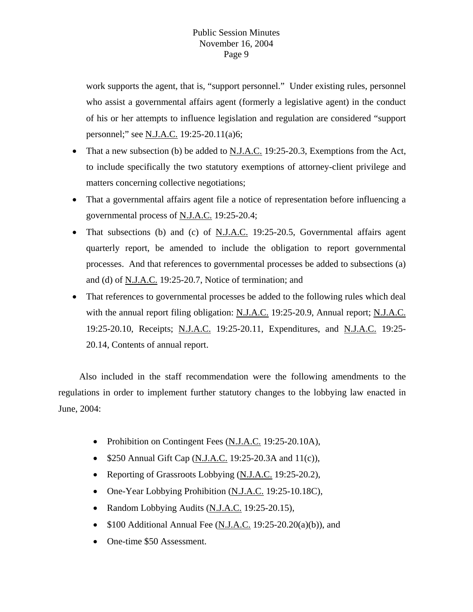work supports the agent, that is, "support personnel." Under existing rules, personnel who assist a governmental affairs agent (formerly a legislative agent) in the conduct of his or her attempts to influence legislation and regulation are considered "support personnel;" see <u>N.J.A.C.</u> 19:25-20.11(a)6;

- That a new subsection (b) be added to N.J.A.C. 19:25-20.3, Exemptions from the Act, to include specifically the two statutory exemptions of attorney-client privilege and matters concerning collective negotiations;
- That a governmental affairs agent file a notice of representation before influencing a governmental process of N.J.A.C. 19:25-20.4;
- That subsections (b) and (c) of N.J.A.C. 19:25-20.5, Governmental affairs agent quarterly report, be amended to include the obligation to report governmental processes. And that references to governmental processes be added to subsections (a) and (d) of N.J.A.C. 19:25-20.7, Notice of termination; and
- That references to governmental processes be added to the following rules which deal with the annual report filing obligation: N.J.A.C. 19:25-20.9, Annual report; N.J.A.C. 19:25-20.10, Receipts; N.J.A.C. 19:25-20.11, Expenditures, and N.J.A.C. 19:25- 20.14, Contents of annual report.

 Also included in the staff recommendation were the following amendments to the regulations in order to implement further statutory changes to the lobbying law enacted in June, 2004:

- Prohibition on Contingent Fees (N.J.A.C. 19:25-20.10A),
- \$250 Annual Gift Cap (N.J.A.C. 19:25-20.3A and 11(c)),
- Reporting of Grassroots Lobbying (N.J.A.C. 19:25-20.2),
- One-Year Lobbying Prohibition (N.J.A.C. 19:25-10.18C),
- Random Lobbying Audits (N.J.A.C. 19:25-20.15),
- \$100 Additional Annual Fee  $(N.I.A.C. 19:25-20.20(a)(b))$ , and
- One-time \$50 Assessment.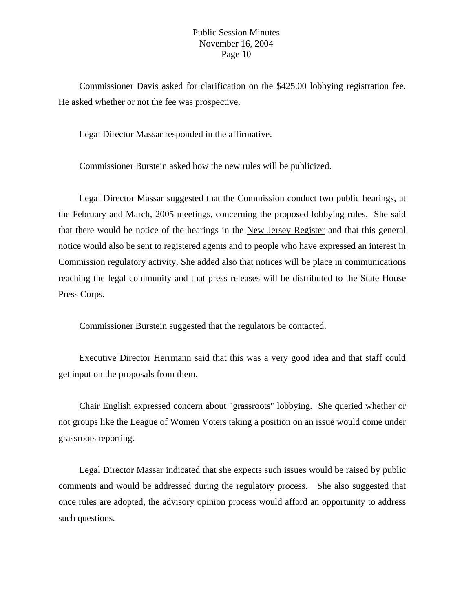Commissioner Davis asked for clarification on the \$425.00 lobbying registration fee. He asked whether or not the fee was prospective.

Legal Director Massar responded in the affirmative.

Commissioner Burstein asked how the new rules will be publicized.

 Legal Director Massar suggested that the Commission conduct two public hearings, at the February and March, 2005 meetings, concerning the proposed lobbying rules. She said that there would be notice of the hearings in the New Jersey Register and that this general notice would also be sent to registered agents and to people who have expressed an interest in Commission regulatory activity. She added also that notices will be place in communications reaching the legal community and that press releases will be distributed to the State House Press Corps.

Commissioner Burstein suggested that the regulators be contacted.

 Executive Director Herrmann said that this was a very good idea and that staff could get input on the proposals from them.

 Chair English expressed concern about "grassroots" lobbying. She queried whether or not groups like the League of Women Voters taking a position on an issue would come under grassroots reporting.

 Legal Director Massar indicated that she expects such issues would be raised by public comments and would be addressed during the regulatory process. She also suggested that once rules are adopted, the advisory opinion process would afford an opportunity to address such questions.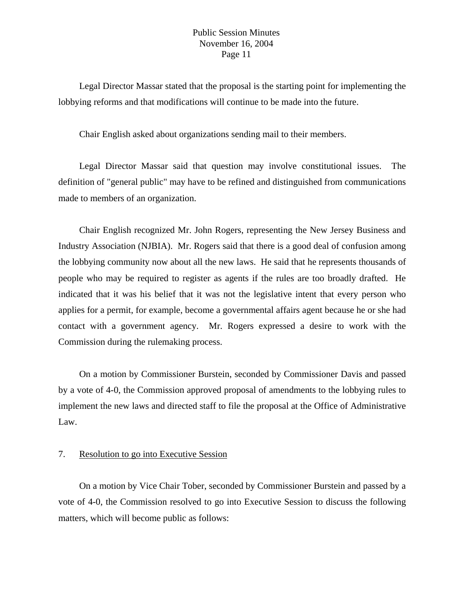Legal Director Massar stated that the proposal is the starting point for implementing the lobbying reforms and that modifications will continue to be made into the future.

Chair English asked about organizations sending mail to their members.

 Legal Director Massar said that question may involve constitutional issues. The definition of "general public" may have to be refined and distinguished from communications made to members of an organization.

 Chair English recognized Mr. John Rogers, representing the New Jersey Business and Industry Association (NJBIA). Mr. Rogers said that there is a good deal of confusion among the lobbying community now about all the new laws. He said that he represents thousands of people who may be required to register as agents if the rules are too broadly drafted. He indicated that it was his belief that it was not the legislative intent that every person who applies for a permit, for example, become a governmental affairs agent because he or she had contact with a government agency. Mr. Rogers expressed a desire to work with the Commission during the rulemaking process.

 On a motion by Commissioner Burstein, seconded by Commissioner Davis and passed by a vote of 4-0, the Commission approved proposal of amendments to the lobbying rules to implement the new laws and directed staff to file the proposal at the Office of Administrative Law.

### 7. Resolution to go into Executive Session

 On a motion by Vice Chair Tober, seconded by Commissioner Burstein and passed by a vote of 4-0, the Commission resolved to go into Executive Session to discuss the following matters, which will become public as follows: